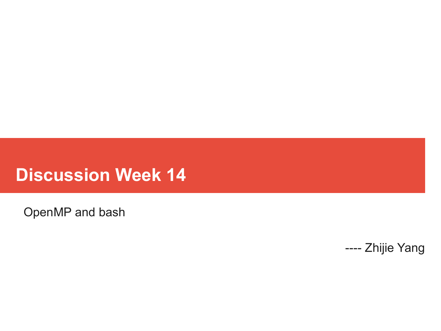## **Discussion Week 14**

OpenMP and bash

---- Zhijie Yang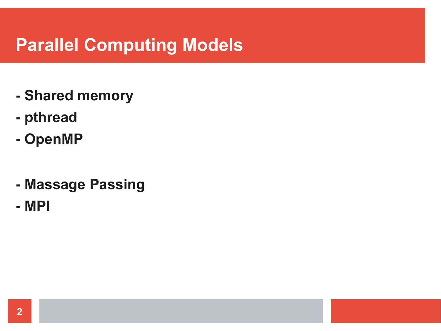# **Parallel Computing Models**

- **- Shared memory**
- **- pthread**
- **- OpenMP**
- **- Massage Passing**
- **- MPI**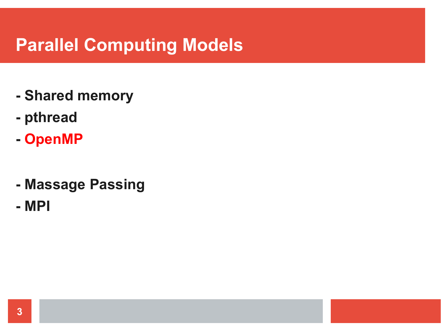# **Parallel Computing Models**

- **- Shared memory**
- **- pthread**
- **- OpenMP**
- **- Massage Passing**
- **- MPI**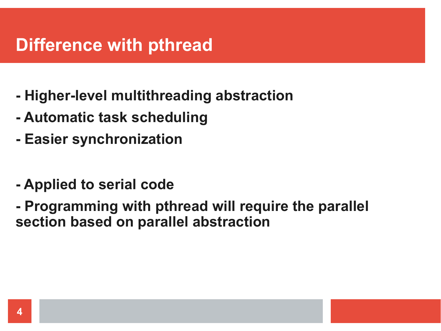## **Difference with pthread**

- **- Higher-level multithreading abstraction**
- **- Automatic task scheduling**
- **- Easier synchronization**
- **- Applied to serial code**
- **- Programming with pthread will require the parallel section based on parallel abstraction**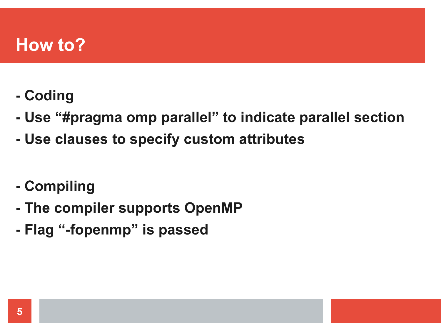#### **How to?**

- **- Coding**
- **- Use "#pragma omp parallel" to indicate parallel section**
- **- Use clauses to specify custom attributes**
- **- Compiling**
- **- The compiler supports OpenMP**
- **- Flag "-fopenmp" is passed**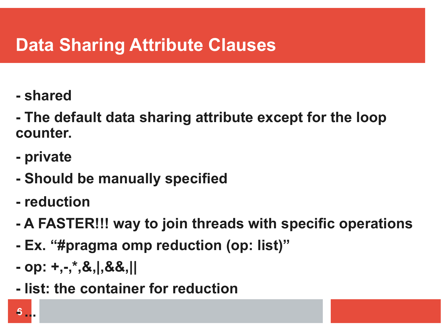# **Data Sharing Attribute Clauses**

- **- shared**
- **- The default data sharing attribute except for the loop counter.**
- **- private**
- **- Should be manually specified**
- **- reduction**
- **- A FASTER!!! way to join threads with specific operations**
- **- Ex. "#pragma omp reduction (op: list)"**
- **- op: +,-,\*,&,|,&&,||**
- **- list: the container for reduction**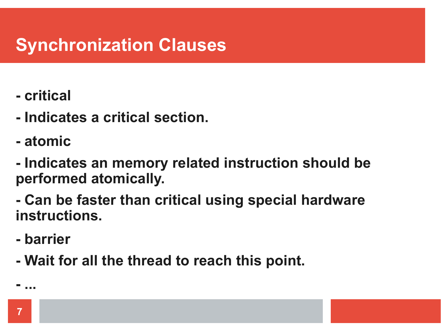# **Synchronization Clauses**

- **- critical**
- **- Indicates a critical section.**
- **- atomic**
- **- Indicates an memory related instruction should be performed atomically.**
- **- Can be faster than critical using special hardware instructions.**
- **- barrier**
- **- Wait for all the thread to reach this point.**

**- ...**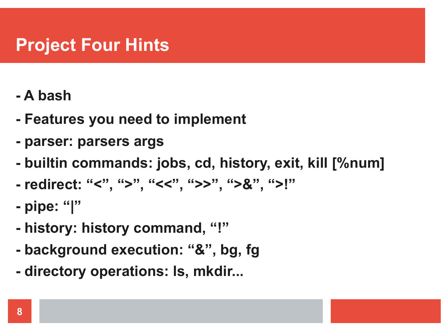# **Project Four Hints**

- **- A bash**
- **- Features you need to implement**
- **- parser: parsers args**
- **- builtin commands: jobs, cd, history, exit, kill [%num]**
- **- redirect: "<", ">", "<<", ">>", ">&", ">!"**
- **- pipe: "|"**
- **- history: history command, "!"**
- **- background execution: "&", bg, fg**
- **- directory operations: ls, mkdir...**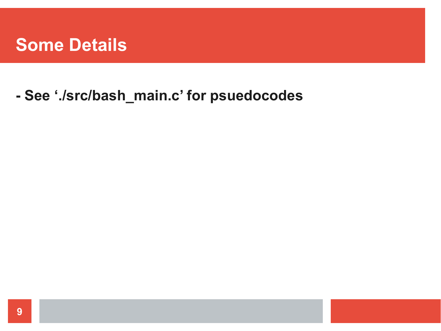#### **Some Details**

#### - See './src/bash\_main.c' for psuedocodes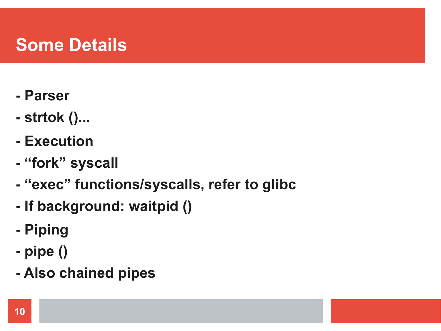## **Some Details**

- **- Parser**
- **- strtok ()...**
- **- Execution**
- **- "fork" syscall**
- **- "exec" functions/syscalls, refer to glibc**
- **- If background: waitpid ()**
- **- Piping**
- **- pipe ()**
- **- Also chained pipes**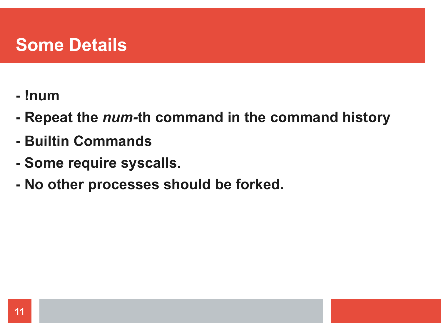#### **Some Details**

- **- !num**
- **- Repeat the** *num-***th command in the command history**
- **- Builtin Commands**
- **- Some require syscalls.**
- **- No other processes should be forked.**